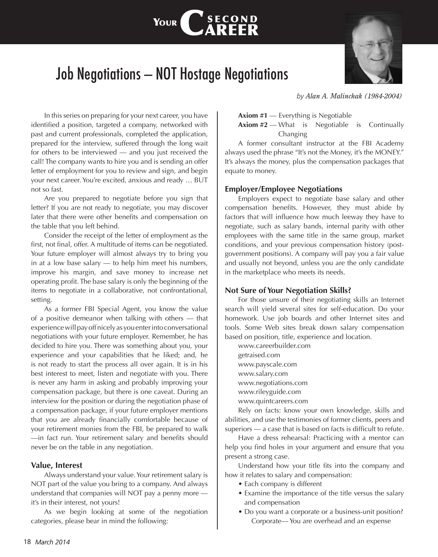# Job Negotiations — NOT Hostage Negotiations

YOUR **S** 

CSECOND<br>CAREER



*by Alan A. Malinchak (1984-2004)*

In this series on preparing for your next career, you have identified a position, targeted a company, networked with past and current professionals, completed the application, prepared for the interview, suffered through the long wait for others to be interviewed — and you just received the call! The company wants to hire you and is sending an offer letter of employment for you to review and sign, and begin your next career. You're excited, anxious and ready … BUT not so fast.

Are you prepared to negotiate before you sign that letter? If you are not ready to negotiate, you may discover later that there were other benefits and compensation on the table that you left behind.

Consider the receipt of the letter of employment as the first, not final, offer. A multitude of items can be negotiated. Your future employer will almost always try to bring you in at a low base salary — to help him meet his numbers, improve his margin, and save money to increase net operating profit. The base salary is only the beginning of the items to negotiate in a collaborative, not confrontational, setting.

As a former FBI Special Agent, you know the value of a positive demeanor when talking with others — that experience will pay off nicely as you enter into conversational negotiations with your future employer. Remember, he has decided to hire you. There was something about you, your experience and your capabilities that he liked; and, he is not ready to start the process all over again. It is in his best interest to meet, listen and negotiate with you. There is never any harm in asking and probably improving your compensation package, but there is one caveat. During an interview for the position or during the negotiation phase of a compensation package, if your future employer mentions that you are already financially comfortable because of your retirement monies from the FBI, be prepared to walk —in fact run. Your retirement salary and benefits should never be on the table in any negotiation.

#### **Value, Interest**

Always understand your value. Your retirement salary is NOT part of the value you bring to a company. And always understand that companies will NOT pay a penny more it's in their interest, not yours!

As we begin looking at some of the negotiation categories, please bear in mind the following:

**Axiom #1** — Everything is Negotiable

**Axiom #2** — What is Negotiable is Continually Changing

A former consultant instructor at the FBI Academy always used the phrase "It's not the Money, it's the MONEY." It's always the money, plus the compensation packages that equate to money.

# **Employer/Employee Negotiations**

Employers expect to negotiate base salary and other compensation benefits. However, they must abide by factors that will influence how much leeway they have to negotiate, such as salary bands, internal parity with other employees with the same title in the same group, market conditions, and your previous compensation history (postgovernment positions). A company will pay you a fair value and usually not beyond, unless you are the only candidate in the marketplace who meets its needs.

# **Not Sure of Your Negotiation Skills?**

For those unsure of their negotiating skills an Internet search will yield several sites for self-education. Do your homework. Use job boards and other Internet sites and tools. Some Web sites break down salary compensation based on position, title, experience and location.

www.careerbuilder.com getraised.com www.payscale.com www.salary.com www.negotiations.com www.rileyguide.com www.quintcareers.com

Rely on facts: know your own knowledge, skills and abilities, and use the testimonies of former clients, peers and superiors — a case that is based on facts is difficult to refute.

Have a dress rehearsal: Practicing with a mentor can help you find holes in your argument and ensure that you present a strong case.

Understand how your title fits into the company and how it relates to salary and compensation:

- Each company is different
- Examine the importance of the title versus the salary and compensation
- Do you want a corporate or a business-unit position? Corporate— You are overhead and an expense